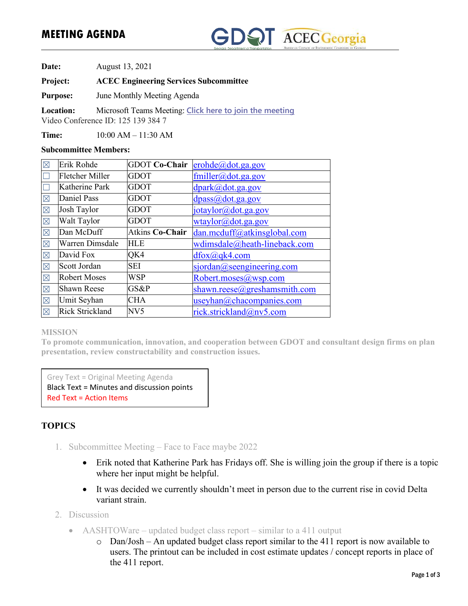## **MEETING AGENDA**



**Date:** August 13, 2021

**Project: ACEC Engineering Services Subcommittee**

**Purpose:** June Monthly Meeting Agenda

**Location:** Microsoft Teams Meeting: **Click here to join the meeting** Video Conference ID: 125 139 384 7

**Time:** 10:00 AM – 11:30 AM

### **Subcommittee Members:**

| $\boxtimes$             | Erik Rohde             | <b>GDOT Co-Chair</b> | erohde@dot.ga.gov            |
|-------------------------|------------------------|----------------------|------------------------------|
|                         | <b>Fletcher Miller</b> | <b>GDOT</b>          | $f$ miller@dot.ga.gov        |
|                         | <b>Katherine Park</b>  | <b>GDOT</b>          | dpark@dot.ga.gov             |
| $\boxtimes$             | Daniel Pass            | <b>GDOT</b>          | dpass@dot.ga.gov             |
| $\boxtimes$             | Josh Taylor            | <b>GDOT</b>          | jotaylor@dot.ga.gov          |
| $\overline{\mathbb{X}}$ | Walt Taylor            | <b>GDOT</b>          | wtaylor@dot.ga.gov           |
| $\boxtimes$             | Dan McDuff             | Atkins Co-Chair      | dan.mcduff@atkinsglobal.com  |
| $\overline{\mathbb{X}}$ | Warren Dimsdale        | HLE                  | wdimsdale@heath-lineback.com |
| $\boxtimes$             | David Fox              | QK4                  | $d$ fox $(a)$ qk4.com        |
| $\boxtimes$             | Scott Jordan           | <b>SEI</b>           | sjordan@seengineering.com    |
| $\boxtimes$             | <b>Robert Moses</b>    | <b>WSP</b>           | Robert.moses@wsp.com         |
| $\boxtimes$             | <b>Shawn Reese</b>     | GS&P                 | shawn.reese@greshamsmith.com |
| $\boxtimes$             | Umit Seyhan            | CHA                  | useyhan@chacompanies.com     |
| $\boxtimes$             | <b>Rick Strickland</b> | NV5                  | rick.strickland@nv5.com      |

### **MISSION**

**To promote communication, innovation, and cooperation between GDOT and consultant design firms on plan presentation, review constructability and construction issues.** 

Grey Text = Original Meeting Agenda Black Text = Minutes and discussion points Red Text = Action Items

## **TOPICS**

- 1. Subcommittee Meeting Face to Face maybe 2022
	- Erik noted that Katherine Park has Fridays off. She is willing join the group if there is a topic where her input might be helpful.
	- It was decided we currently shouldn't meet in person due to the current rise in covid Delta variant strain.
- 2. Discussion
	- AASHTOWare updated budget class report similar to a 411 output
		- o Dan/Josh An updated budget class report similar to the 411 report is now available to users. The printout can be included in cost estimate updates / concept reports in place of the 411 report.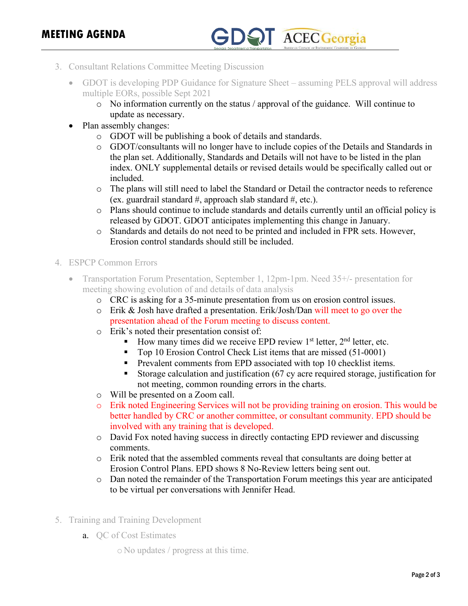# **GDOT** ACEC Georgia

- 3. Consultant Relations Committee Meeting Discussion
	- GDOT is developing PDP Guidance for Signature Sheet assuming PELS approval will address multiple EORs, possible Sept 2021
		- o No information currently on the status / approval of the guidance. Will continue to update as necessary.
	- Plan assembly changes:
		- o GDOT will be publishing a book of details and standards.
		- o GDOT/consultants will no longer have to include copies of the Details and Standards in the plan set. Additionally, Standards and Details will not have to be listed in the plan index. ONLY supplemental details or revised details would be specifically called out or included.
		- o The plans will still need to label the Standard or Detail the contractor needs to reference (ex. guardrail standard #, approach slab standard #, etc.).
		- o Plans should continue to include standards and details currently until an official policy is released by GDOT. GDOT anticipates implementing this change in January.
		- o Standards and details do not need to be printed and included in FPR sets. However, Erosion control standards should still be included.
- 4. ESPCP Common Errors
	- Transportation Forum Presentation, September 1, 12pm-1pm. Need 35+/- presentation for meeting showing evolution of and details of data analysis
		- o CRC is asking for a 35-minute presentation from us on erosion control issues.
		- o Erik & Josh have drafted a presentation. Erik/Josh/Dan will meet to go over the presentation ahead of the Forum meeting to discuss content.
		- o Erik's noted their presentation consist of:
			- How many times did we receive EPD review  $1<sup>st</sup>$  letter,  $2<sup>nd</sup>$  letter, etc.
			- Top 10 Erosion Control Check List items that are missed (51-0001)
			- **Prevalent comments from EPD associated with top 10 checklist items.**
			- Storage calculation and justification (67 cy acre required storage, justification for not meeting, common rounding errors in the charts.
		- o Will be presented on a Zoom call.
		- o Erik noted Engineering Services will not be providing training on erosion. This would be better handled by CRC or another committee, or consultant community. EPD should be involved with any training that is developed.
		- o David Fox noted having success in directly contacting EPD reviewer and discussing comments.
		- o Erik noted that the assembled comments reveal that consultants are doing better at Erosion Control Plans. EPD shows 8 No-Review letters being sent out.
		- o Dan noted the remainder of the Transportation Forum meetings this year are anticipated to be virtual per conversations with Jennifer Head.
- 5. Training and Training Development
	- a. QC of Cost Estimates
		- o No updates / progress at this time.